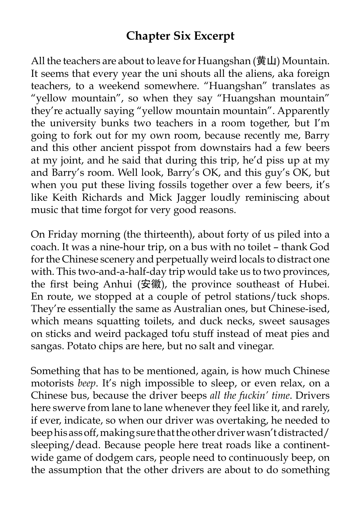## **Chapter Six Excerpt**

All the teachers are about to leave for Huangshan (黄山) Mountain. It seems that every year the uni shouts all the aliens, aka foreign teachers, to a weekend somewhere. "Huangshan" translates as "yellow mountain", so when they say "Huangshan mountain" they're actually saying "yellow mountain mountain". Apparently the university bunks two teachers in a room together, but I'm going to fork out for my own room, because recently me, Barry and this other ancient pisspot from downstairs had a few beers at my joint, and he said that during this trip, he'd piss up at my and Barry's room. Well look, Barry's OK, and this guy's OK, but when you put these living fossils together over a few beers, it's like Keith Richards and Mick Jagger loudly reminiscing about music that time forgot for very good reasons.

On Friday morning (the thirteenth), about forty of us piled into a coach. It was a nine-hour trip, on a bus with no toilet – thank God for the Chinese scenery and perpetually weird locals to distract one with. This two-and-a-half-day trip would take us to two provinces, the first being Anhui (安徽), the province southeast of Hubei. En route, we stopped at a couple of petrol stations/tuck shops. They're essentially the same as Australian ones, but Chinese-ised, which means squatting toilets, and duck necks, sweet sausages on sticks and weird packaged tofu stuff instead of meat pies and sangas. Potato chips are here, but no salt and vinegar.

Something that has to be mentioned, again, is how much Chinese motorists *beep*. It's nigh impossible to sleep, or even relax, on a Chinese bus, because the driver beeps *all the fuckin' time*. Drivers here swerve from lane to lane whenever they feel like it, and rarely, if ever, indicate, so when our driver was overtaking, he needed to beep his ass off, making sure that the other driver wasn't distracted/ sleeping/dead. Because people here treat roads like a continentwide game of dodgem cars, people need to continuously beep, on the assumption that the other drivers are about to do something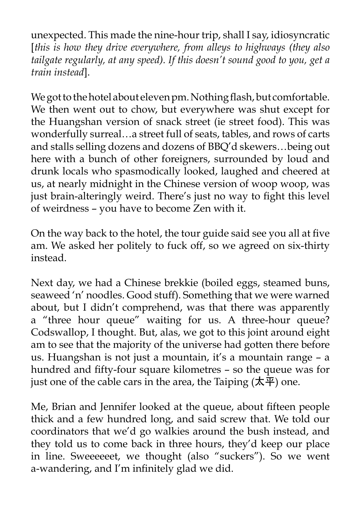unexpected. This made the nine-hour trip, shall I say, idiosyncratic [*this is how they drive everywhere, from alleys to highways (they also tailgate regularly, at any speed). If this doesn't sound good to you, get a train instead*].

We got to the hotel about eleven pm. Nothing flash, but comfortable. We then went out to chow, but everywhere was shut except for the Huangshan version of snack street (ie street food). This was wonderfully surreal…a street full of seats, tables, and rows of carts and stalls selling dozens and dozens of BBQ'd skewers…being out here with a bunch of other foreigners, surrounded by loud and drunk locals who spasmodically looked, laughed and cheered at us, at nearly midnight in the Chinese version of woop woop, was just brain-alteringly weird. There's just no way to fight this level of weirdness – you have to become Zen with it.

On the way back to the hotel, the tour guide said see you all at five am. We asked her politely to fuck off, so we agreed on six-thirty instead.

Next day, we had a Chinese brekkie (boiled eggs, steamed buns, seaweed 'n' noodles. Good stuff). Something that we were warned about, but I didn't comprehend, was that there was apparently a "three hour queue" waiting for us. A three-hour queue? Codswallop, I thought. But, alas, we got to this joint around eight am to see that the majority of the universe had gotten there before us. Huangshan is not just a mountain, it's a mountain range – a hundred and fifty-four square kilometres – so the queue was for just one of the cable cars in the area, the Taiping  $(\overline{\mathbf{x}}, \overline{\mathbf{F}})$  one.

Me, Brian and Jennifer looked at the queue, about fifteen people thick and a few hundred long, and said screw that. We told our coordinators that we'd go walkies around the bush instead, and they told us to come back in three hours, they'd keep our place in line. Sweeeeeet, we thought (also "suckers"). So we went a-wandering, and I'm infinitely glad we did.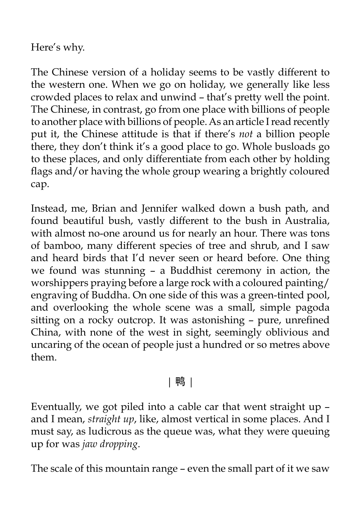Here's why.

The Chinese version of a holiday seems to be vastly different to the western one. When we go on holiday, we generally like less crowded places to relax and unwind – that's pretty well the point. The Chinese, in contrast, go from one place with billions of people to another place with billions of people. As an article I read recently put it, the Chinese attitude is that if there's *not* a billion people there, they don't think it's a good place to go. Whole busloads go to these places, and only differentiate from each other by holding flags and/or having the whole group wearing a brightly coloured cap.

Instead, me, Brian and Jennifer walked down a bush path, and found beautiful bush, vastly different to the bush in Australia, with almost no-one around us for nearly an hour. There was tons of bamboo, many different species of tree and shrub, and I saw and heard birds that I'd never seen or heard before. One thing we found was stunning – a Buddhist ceremony in action, the worshippers praying before a large rock with a coloured painting/ engraving of Buddha. On one side of this was a green-tinted pool, and overlooking the whole scene was a small, simple pagoda sitting on a rocky outcrop. It was astonishing – pure, unrefined China, with none of the west in sight, seemingly oblivious and uncaring of the ocean of people just a hundred or so metres above them.

## | 鸭 |

Eventually, we got piled into a cable car that went straight up – and I mean, *straight up*, like, almost vertical in some places. And I must say, as ludicrous as the queue was, what they were queuing up for was *jaw dropping*.

The scale of this mountain range – even the small part of it we saw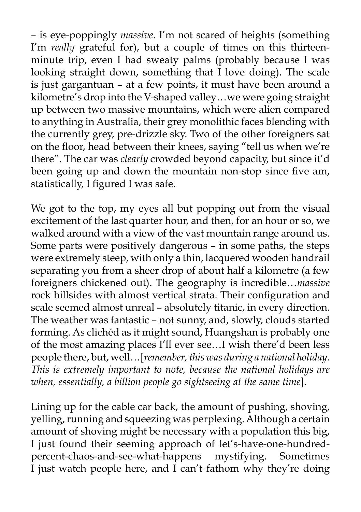– is eye-poppingly *massive*. I'm not scared of heights (something I'm *really* grateful for), but a couple of times on this thirteenminute trip, even I had sweaty palms (probably because I was looking straight down, something that I love doing). The scale is just gargantuan – at a few points, it must have been around a kilometre's drop into the V-shaped valley…we were going straight up between two massive mountains, which were alien compared to anything in Australia, their grey monolithic faces blending with the currently grey, pre-drizzle sky. Two of the other foreigners sat on the floor, head between their knees, saying "tell us when we're there". The car was *clearly* crowded beyond capacity, but since it'd been going up and down the mountain non-stop since five am, statistically, I figured I was safe.

We got to the top, my eyes all but popping out from the visual excitement of the last quarter hour, and then, for an hour or so, we walked around with a view of the vast mountain range around us. Some parts were positively dangerous – in some paths, the steps were extremely steep, with only a thin, lacquered wooden handrail separating you from a sheer drop of about half a kilometre (a few foreigners chickened out). The geography is incredible…*massive* rock hillsides with almost vertical strata. Their configuration and scale seemed almost unreal – absolutely titanic, in every direction. The weather was fantastic – not sunny, and, slowly, clouds started forming. As clichéd as it might sound, Huangshan is probably one of the most amazing places I'll ever see…I wish there'd been less people there, but, well…[*remember, this was during a national holiday. This is extremely important to note, because the national holidays are when, essentially, a billion people go sightseeing at the same time*].

Lining up for the cable car back, the amount of pushing, shoving, yelling, running and squeezing was perplexing. Although a certain amount of shoving might be necessary with a population this big, I just found their seeming approach of let's-have-one-hundredpercent-chaos-and-see-what-happens mystifying. Sometimes I just watch people here, and I can't fathom why they're doing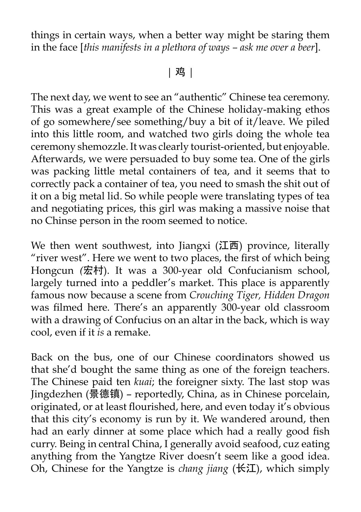things in certain ways, when a better way might be staring them in the face [*this manifests in a plethora of ways – ask me over a beer*].

| 鸡 |

The next day, we went to see an "authentic" Chinese tea ceremony. This was a great example of the Chinese holiday-making ethos of go somewhere/see something/buy a bit of it/leave. We piled into this little room, and watched two girls doing the whole tea ceremony shemozzle. It was clearly tourist-oriented, but enjoyable. Afterwards, we were persuaded to buy some tea. One of the girls was packing little metal containers of tea, and it seems that to correctly pack a container of tea, you need to smash the shit out of it on a big metal lid. So while people were translating types of tea and negotiating prices, this girl was making a massive noise that no Chinse person in the room seemed to notice.

We then went southwest, into Jiangxi  $(II<sup>\d</sup>$  province, literally "river west". Here we went to two places, the first of which being Hongcun *(*宏村). It was a 300-year old Confucianism school, largely turned into a peddler's market. This place is apparently famous now because a scene from *Crouching Tiger, Hidden Dragon* was filmed here. There's an apparently 300-year old classroom with a drawing of Confucius on an altar in the back, which is way cool, even if it *is* a remake.

Back on the bus, one of our Chinese coordinators showed us that she'd bought the same thing as one of the foreign teachers. The Chinese paid ten *kuai*; the foreigner sixty. The last stop was Jingdezhen (景德镇) – reportedly, China, as in Chinese porcelain, originated, or at least flourished, here, and even today it's obvious that this city's economy is run by it. We wandered around, then had an early dinner at some place which had a really good fish curry. Being in central China, I generally avoid seafood, cuz eating anything from the Yangtze River doesn't seem like a good idea. Oh, Chinese for the Yangtze is *chang jiang* (长江), which simply